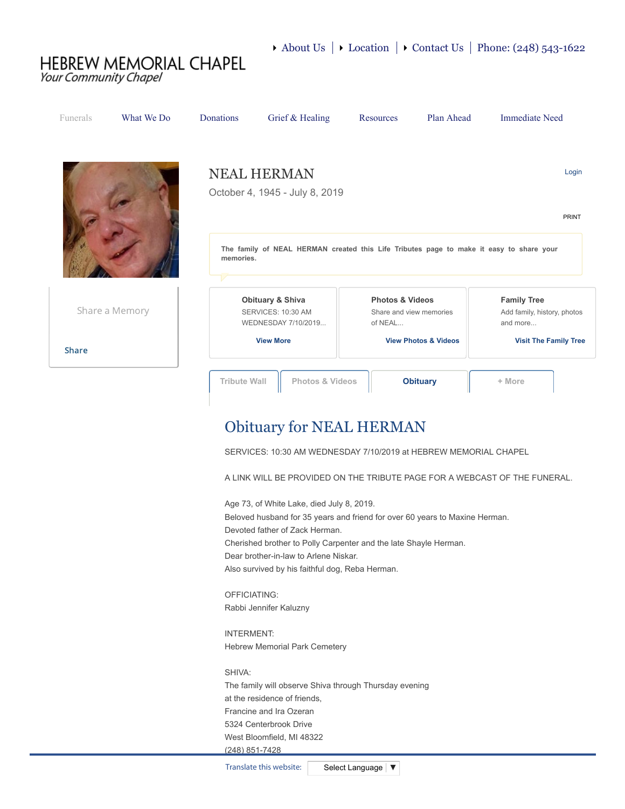## **HEBREW MEMORIAL CHAPEL** Your Community Chapel

| <b>Funerals</b>                 | What We Do     | <b>Donations</b>                                                                                              | Grief & Healing                                                                              | Resources | Plan Ahead                                                                               | <b>Immediate Need</b>                                                                         |
|---------------------------------|----------------|---------------------------------------------------------------------------------------------------------------|----------------------------------------------------------------------------------------------|-----------|------------------------------------------------------------------------------------------|-----------------------------------------------------------------------------------------------|
|                                 |                | <b>NEAL HERMAN</b><br>Login<br>October 4, 1945 - July 8, 2019                                                 |                                                                                              |           |                                                                                          |                                                                                               |
|                                 |                | PRINT<br>The family of NEAL HERMAN created this Life Tributes page to make it easy to share your<br>memories. |                                                                                              |           |                                                                                          |                                                                                               |
|                                 | Share a Memory |                                                                                                               | <b>Obituary &amp; Shiva</b><br>SERVICES: 10:30 AM<br>WEDNESDAY 7/10/2019<br><b>View More</b> |           | <b>Photos &amp; Videos</b><br>Share and view memories<br><b>View Photos &amp; Videos</b> | <b>Family Tree</b><br>Add family, history, photos<br>and more<br><b>Visit The Family Tree</b> |
| <b>Share</b>                    |                |                                                                                                               |                                                                                              |           |                                                                                          |                                                                                               |
|                                 |                | <b>Tribute Wall</b>                                                                                           | <b>Photos &amp; Videos</b>                                                                   |           | <b>Obituary</b>                                                                          | + More                                                                                        |
| <b>Obituary for NEAL HERMAN</b> |                |                                                                                                               |                                                                                              |           |                                                                                          |                                                                                               |

SERVICES: 10:30 AM WEDNESDAY 7/10/2019 at HEBREW MEMORIAL CHAPEL

A LINK WILL BE PROVIDED ON THE TRIBUTE PAGE FOR A WEBCAST OF THE FUNERAL.

Age 73, of White Lake, died July 8, 2019. Beloved husband for 35 years and friend for over 60 years to Maxine Herman. Devoted father of Zack Herman. Cherished brother to Polly Carpenter and the late Shayle Herman. Dear brother-in-law to Arlene Niskar. Also survived by his faithful dog, Reba Herman.

OFFICIATING: Rabbi Jennifer Kaluzny

INTERMENT: Hebrew Memorial Park Cemetery

SHIVA: The family will observe Shiva through Thursday evening at the residence of friends, Francine and Ira Ozeran 5324 Centerbrook Drive West Bloomfield, MI 48322 (248) 851-7428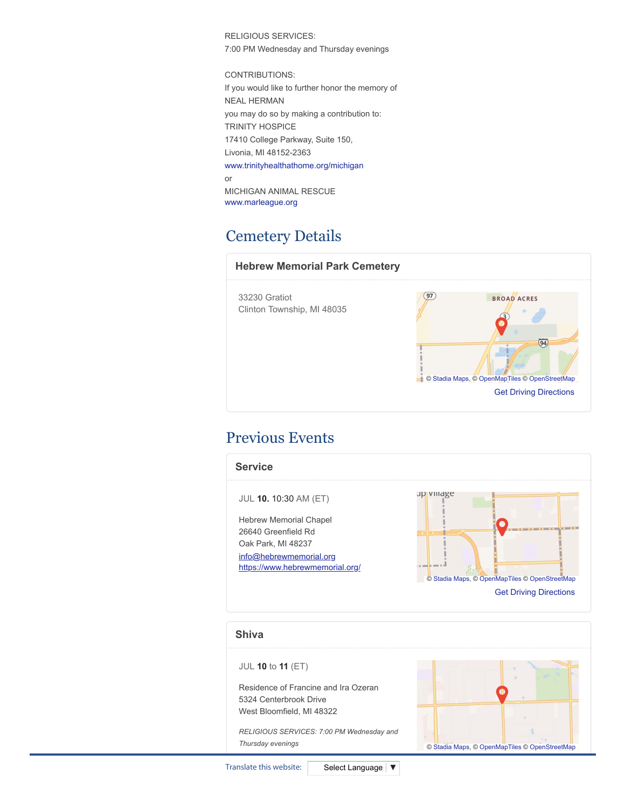RELIGIOUS SERVICES: 7:00 PM Wednesday and Thursday evenings

CONTRIBUTIONS:

If you would like to further honor the memory of NEAL HERMAN you may do so by making a contribution to: TRINITY HOSPICE 17410 College Parkway, Suite 150, Livonia, MI 48152-2363 [www.trinityhealthathome.org/michigan](http://www.trinityhealthathome.org/michigan) or MICHIGAN ANIMAL RESCUE [www.marleague.org](http://www.marleague.org/)

# Cemetery Details

## **Hebrew Memorial Park Cemetery**  $\overline{97}$ 33230 Gratiot BROAD ACRES Clinton Township, MI 48035  $\boldsymbol{q}$  $\overline{94}$ © [Stadia Maps](https://stadiamaps.com/), © [OpenMapTiles](https://openmaptiles.org/) © [OpenStreetMap](http://openstreetmap.org/) [Get Driving Directions](https://www.google.com/maps/dir/?api=1&destination=33230+Gratiot%2c+Clinton+Township%2c+MI+48035%2c+US)

# Previous Events



© [Stadia Maps](https://stadiamaps.com/), © [OpenMapTiles](https://openmaptiles.org/) © [OpenStreetMap](http://openstreetmap.org/)

*RELIGIOUS SERVICES: 7:00 PM Wednesday and Thursday evenings*